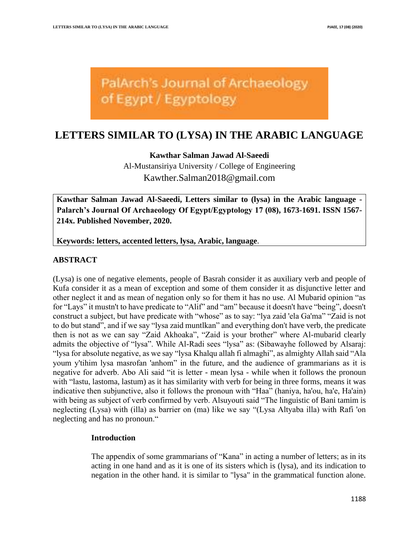

# **LETTERS SIMILAR TO (LYSA) IN THE ARABIC LANGUAGE**

**Kawthar Salman Jawad Al-Saeedi**

Al-Mustansiriya University / College of Engineering [Kawther.Salman2018@gmail.com](mailto:Kawther.Salman2018@gmail.com)

**Kawthar Salman Jawad Al-Saeedi, Letters similar to (lysa) in the Arabic language - Palarch's Journal Of Archaeology Of Egypt/Egyptology 17 (08), 1673-1691. ISSN 1567- 214x. Published November, 2020.** 

**Keywords: letters, accented letters, lysa, Arabic, language**.

## **ABSTRACT**

(Lysa) is one of negative elements, people of Basrah consider it as auxiliary verb and people of Kufa consider it as a mean of exception and some of them consider it as disjunctive letter and other neglect it and as mean of negation only so for them it has no use. Al Mubarid opinion "as for "Lays" it mustn't to have predicate to "Alif" and "am" because it doesn't have "being", doesn't construct a subject, but have predicate with "whose" as to say: "lya zaid 'ela Ga'ma" "Zaid is not to do but stand", and if we say "lysa zaid muntlkan" and everything don't have verb, the predicate then is not as we can say "Zaid Akhoaka", "Zaid is your brother" where Al-mubarid clearly admits the objective of "lysa". While Al-Radi sees "lysa" as: (Sibawayhe followed by Alsaraj: "lysa for absolute negative, as we say "lysa Khalqu allah fi almaghi", as almighty Allah said "Ala youm y'tihim lysa masrofan 'anhom" in the future, and the audience of grammarians as it is negative for adverb. Abo Ali said "it is letter - mean lysa - while when it follows the pronoun with "lastu, lastoma, lastum) as it has similarity with verb for being in three forms, means it was indicative then subjunctive, also it follows the pronoun with "Haa" (haniya, ha'ou, ha'e, Ha'ain) with being as subject of verb confirmed by verb. Alsuyouti said "The linguistic of Bani tamim is neglecting (Lysa) with (illa) as barrier on (ma) like we say "(Lysa Altyaba illa) with Rafi 'on neglecting and has no pronoun."

#### **Introduction**

The appendix of some grammarians of "Kana" in acting a number of letters; as in its acting in one hand and as it is one of its sisters which is (lysa), and its indication to negation in the other hand. it is similar to "lysa" in the grammatical function alone.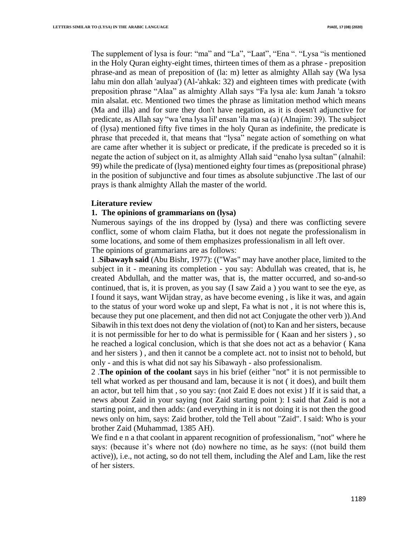The supplement of lysa is four: "ma" and "La", "Laat", "Ena ". "Lysa "is mentioned in the Holy Quran eighty-eight times, thirteen times of them as a phrase - preposition phrase-and as mean of preposition of (la: m) letter as almighty Allah say (Wa lysa lahu min don allah 'aulyaa') (Al-'ahkak: 32) and eighteen times with predicate (with preposition phrase "Alaa" as almighty Allah says "Fa lysa ale: kum Janah 'a toksro min alsalat. etc. Mentioned two times the phrase as limitation method which means (Ma and illa) and for sure they don't have negation, as it is doesn't adjunctive for predicate, as Allah say "wa 'ena lysa lil' ensan 'ila ma sa (a) (Alnajim: 39). The subject of (lysa) mentioned fifty five times in the holy Quran as indefinite, the predicate is phrase that preceded it, that means that "lysa" negate action of something on what are came after whether it is subject or predicate, if the predicate is preceded so it is negate the action of subject on it, as almighty Allah said "enaho lysa sultan" (alnahil: 99) while the predicate of (lysa) mentioned eighty four times as (prepositional phrase) in the position of subjunctive and four times as absolute subjunctive .The last of our prays is thank almighty Allah the master of the world.

#### **Literature review**

#### **1. The opinions of grammarians on (lysa)**

Numerous sayings of the ins dropped by (lysa) and there was conflicting severe conflict, some of whom claim Flatha, but it does not negate the professionalism in some locations, and some of them emphasizes professionalism in all left over .

The opinions of grammarians are as follows:

1 .**Sibawayh said** (Abu Bishr, 1977): (("Was" may have another place, limited to the subject in it - meaning its completion - you say: Abdullah was created, that is, he created Abdullah, and the matter was, that is, the matter occurred, and so-and-so continued, that is, it is proven, as you say (I saw Zaid a ) you want to see the eye, as I found it says, want Wijdan stray, as have become evening , is like it was, and again to the status of your word woke up and slept, Fa what is not , it is not where this is, because they put one placement, and then did not act Conjugate the other verb )).And Sibawih in this text does not deny the violation of (not) to Kan and her sisters, because it is not permissible for her to do what is permissible for ( Kaan and her sisters ) , so he reached a logical conclusion, which is that she does not act as a behavior ( Kana and her sisters ) , and then it cannot be a complete act. not to insist not to behold, but only - and this is what did not say his Sibawayh - also professionalism.

2 .**The opinion of the coolant** says in his brief (either "not" it is not permissible to tell what worked as per thousand and lam, because it is not ( it does), and built them an actor, but tell him that , so you say: (not Zaid E does not exist ) If it is said that, a news about Zaid in your saying (not Zaid starting point ): I said that Zaid is not a starting point, and then adds: (and everything in it is not doing it is not then the good news only on him, says: Zaid brother, told the Tell about "Zaid". I said: Who is your brother Zaid (Muhammad, 1385 AH) .

We find e n a that coolant in apparent recognition of professionalism, "not" where he says: (because it's where not (do) nowhere no time, as he says: ((not build them active)), i.e., not acting, so do not tell them, including the Alef and Lam, like the rest of her sisters .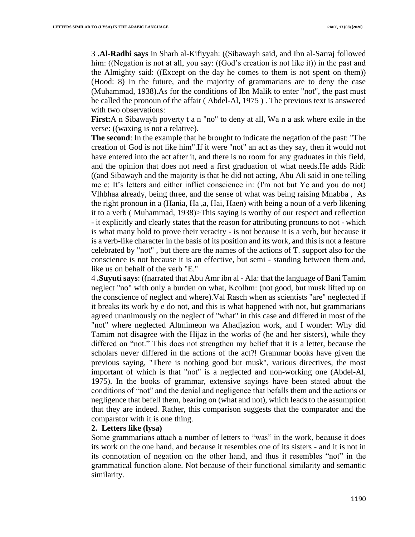3 **.Al-Radhi says** in Sharh al-Kifiyyah: ((Sibawayh said, and Ibn al-Sarraj followed him: ((Negation is not at all, you say: ((God's creation is not like it)) in the past and the Almighty said: ((Except on the day he comes to them is not spent on them)) (Hood: 8) In the future, and the majority of grammarians are to deny the case (Muhammad, 1938).As for the conditions of Ibn Malik to enter "not", the past must be called the pronoun of the affair ( Abdel-Al, 1975 ) . The previous text is answered with two observations:

**First:**A n Sibawayh poverty t a n "no" to deny at all, Wa n a ask where exile in the verse: ((waxing is not a relative).

**The second:** In the example that he brought to indicate the negation of the past: "The creation of God is not like him".If it were "not" an act as they say, then it would not have entered into the act after it, and there is no room for any graduates in this field, and the opinion that does not need a first graduation of what needs.He adds Ridi: ((and Sibawayh and the majority is that he did not acting, Abu Ali said in one telling me e: It's letters and either inflict conscience in: (I'm not but Ye and you do not) Vlhbhaa already, being three, and the sense of what was being raising Mnabba , As the right pronoun in a (Hania, Ha ,a, Hai, Haen) with being a noun of a verb likening it to a verb (Muhammad, 1938)>This saying is worthy of our respect and reflection - it explicitly and clearly states that the reason for attributing pronouns to not - which is what many hold to prove their veracity - is not because it is a verb, but because it is a verb-like character in the basis of its position and its work, and this is not a feature celebrated by "not" , but there are the names of the actions of T. support also for the conscience is not because it is an effective, but semi - standing between them and, like us on behalf of the verb "E."

4 **.Suyuti says**: ((narrated that Abu Amr ibn al - Ala: that the language of Bani Tamim neglect "no" with only a burden on what, Kcolhm: (not good, but musk lifted up on the conscience of neglect and where).Val Rasch when as scientists "are" neglected if it breaks its work by e do not, and this is what happened with not, but grammarians agreed unanimously on the neglect of "what" in this case and differed in most of the "not" where neglected Altmimeon wa Ahadjazion work, and I wonder: Why did Tamim not disagree with the Hijaz in the works of (he and her sisters), while they differed on "not." This does not strengthen my belief that it is a letter, because the scholars never differed in the actions of the act?! Grammar books have given the previous saying, "There is nothing good but musk", various directives, the most important of which is that "not" is a neglected and non-working one (Abdel-Al, 1975). In the books of grammar, extensive sayings have been stated about the conditions of "not" and the denial and negligence that befalls them and the actions or negligence that befell them, bearing on (what and not), which leads to the assumption that they are indeed. Rather, this comparison suggests that the comparator and the comparator with it is one thing.

#### **2. Letters like (lysa)**

Some grammarians attach a number of letters to "was" in the work, because it does its work on the one hand, and because it resembles one of its sisters - and it is not in its connotation of negation on the other hand, and thus it resembles "not" in the grammatical function alone. Not because of their functional similarity and semantic similarity.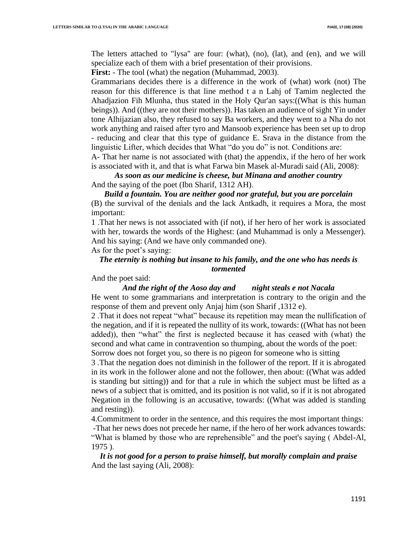The letters attached to "lysa" are four: (what), (no), (lat), and (en), and we will specialize each of them with a brief presentation of their provisions.

**First:** - The tool (what) the negation (Muhammad, 2003).

Grammarians decides there is a difference in the work of (what) work (not) The reason for this difference is that line method t a n Lahj of Tamim neglected the Ahadjazion Fih Mlunha, thus stated in the Holy Qur'an says:((What is this human beings)). And ((they are not their mothers)). Has taken an audience of sight Yin under tone Alhijazian also, they refused to say Ba workers, and they went to a Nha do not work anything and raised after tyro and Mansoob experience has been set up to drop - reducing and clear that this type of guidance E. Srava in the distance from the linguistic Lifter, which decides that What "do you do" is not. Conditions are:

A- That her name is not associated with (that) the appendix, if the hero of her work is associated with it, and that is what Farwa bin Masek al-Muradi said (Ali, 2008):

*As soon as our medicine is cheese, but Minana and another country* And the saying of the poet (Ibn Sharif, 1312 AH) .

*Build a fountain. You are neither good nor grateful, but you are porcelain* (B) the survival of the denials and the lack Antkadh, it requires a Mora, the most important:

1 .That her news is not associated with (if not), if her hero of her work is associated with her, towards the words of the Highest: (and Muhammad is only a Messenger). And his saying: (And we have only commanded one).

As for the poet's saying:

# *The eternity is nothing but insane to his family, and the one who has needs is tormented*

#### And the poet said:

#### *And the right of the Aoso day and night steals e not Nacala*

He went to some grammarians and interpretation is contrary to the origin and the response of them and prevent only Anjaj him (son Sharif ,1312 e).

2 .That it does not repeat "what" because its repetition may mean the nullification of the negation, and if it is repeated the nullity of its work, towards: ((What has not been added)), then "what" the first is neglected because it has ceased with (what) the second and what came in contravention so thumping, about the words of the poet: Sorrow does not forget you, so there is no pigeon for someone who is sitting

3 .That the negation does not diminish in the follower of the report. If it is abrogated in its work in the follower alone and not the follower, then about: ((What was added is standing but sitting)) and for that a rule in which the subject must be lifted as a news of a subject that is omitted, and its position is not valid, so if it is not abrogated Negation in the following is an accusative, towards: ((What was added is standing and resting).

4.Commitment to order in the sentence, and this requires the most important things : -That her news does not precede her name, if the hero of her work advances towards: "What is blamed by those who are reprehensible" and the poet's saying ( Abdel-Al, 1975 ).

*It is not good for a person to praise himself, but morally complain and praise* And the last saying (Ali, 2008):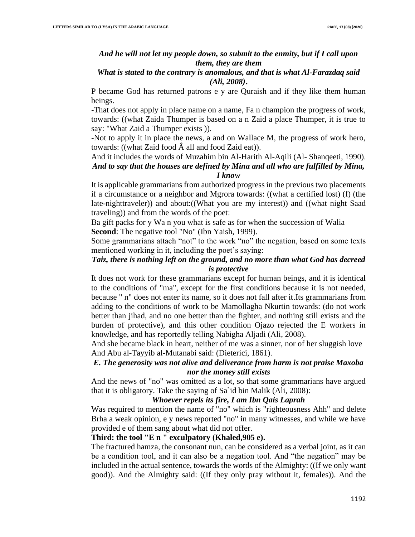## *And he will not let my people down, so submit to the enmity, but if I call upon them, they are them*

### *What is stated to the contrary is anomalous, and that is what Al-Farazdaq said (Ali, 2008)***.**

P became God has returned patrons e y are Quraish and if they like them human beings.

-That does not apply in place name on a name, Fa n champion the progress of work, towards: ((what Zaida Thumper is based on a n Zaid a place Thumper, it is true to say: "What Zaid a Thumper exists )).

-Not to apply it in place the news, a and on Wallace M, the progress of work hero, towards: ((what Zaid food  $\hat{A}$  all and food Zaid eat)).

# And it includes the words of Muzahim bin Al-Harith Al-Aqili (Al- Shanqeeti, 1990). *And to say that the houses are defined by Mina and all who are fulfilled by Mina, I kno*w

It is applicable grammarians from authorized progress in the previous two placements if a circumstance or a neighbor and Mgrora towards: ((what a certified lost) (f) (the late-nighttraveler)) and about:((What you are my interest)) and ((what night Saad traveling)) and from the words of the poet :

Ba gift packs for y Wa n you what is safe as for when the succession of Walia **Second:** The negative tool "No" (Ibn Yaish, 1999).

Some grammarians attach "not" to the work "no" the negation, based on some texts mentioned working in it, including the poet's saying:

# *Taiz, there is nothing left on the ground, and no more than what God has decreed is protective*

It does not work for these grammarians except for human beings, and it is identical to the conditions of "ma", except for the first conditions because it is not needed, because " n" does not enter its name, so it does not fall after it .Its grammarians from adding to the conditions of work to be Mamollagha Nkurtin towards: (do not work better than jihad, and no one better than the fighter, and nothing still exists and the burden of protective), and this other condition Ojazo rejected the E workers in knowledge, and has reportedly telling Nabigha Aljadi (Ali, 2008).

And she became black in heart, neither of me was a sinner, nor of her sluggish love And Abu al-Tayyib al-Mutanabi said: (Dieterici, 1861).

# *E. The generosity was not alive and deliverance from harm is not praise Maxoba nor the money still exists*

And the news of "no" was omitted as a lot, so that some grammarians have argued that it is obligatory. Take the saying of Sa`id bin Malik (Ali, 2008):

## *Whoever repels its fire, I am Ibn Qais Laprah*

Was required to mention the name of "no" which is "righteousness Ahh" and delete Brha a weak opinion, e y news reported "no" in many witnesses, and while we have provided e of them sang about what did not offer.

# **Third: the tool "E n " exculpatory (Khaled,905 e) .**

The fractured hamza, the consonant nun, can be considered as a verbal joint, as it can be a condition tool, and it can also be a negation tool. And "the negation" may be included in the actual sentence, towards the words of the Almighty: ((If we only want good)). And the Almighty said: ((If they only pray without it, females)). And the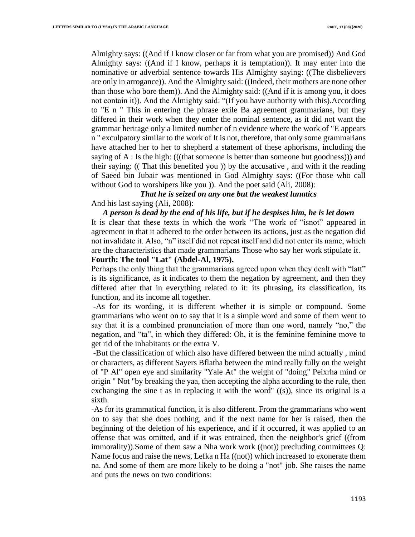Almighty says: ((And if I know closer or far from what you are promised)) And God Almighty says: ((And if I know, perhaps it is temptation)). It may enter into the nominative or adverbial sentence towards His Almighty saying: ((The disbelievers are only in arrogance)). And the Almighty said: ((Indeed, their mothers are none other than those who bore them)). And the Almighty said: ((And if it is among you, it does not contain it)). And the Almighty said: "(If you have authority with this).According to "E n " This in entering the phrase exile Ba agreement grammarians, but they differed in their work when they enter the nominal sentence, as it did not want the grammar heritage only a limited number of n evidence where the work of "E appears n " exculpatory similar to the work of It is not, therefore, that only some grammarians have attached her to her to shepherd a statement of these aphorisms, including the saying of A : Is the high: (((that someone is better than someone but goodness))) and their saying: (( That this benefited you )) by the accusative , and with it the reading of Saeed bin Jubair was mentioned in God Almighty says: ((For those who call without God to worshipers like you )). And the poet said (Ali, 2008):

*That he is seized on any one but the weakest lunatics* And his last saying (Ali, 2008):

*A person is dead by the end of his life, but if he despises him, he is let down* It is clear that these texts in which the work "The work of "isnot" appeared in agreement in that it adhered to the order between its actions, just as the negation did not invalidate it. Also, "n" itself did not repeat itself and did not enter its name, which are the characteristics that made grammarians Those who say her work stipulate it. Fourth: The tool "Lat" (Abdel-Al, 1975).

Perhaps the only thing that the grammarians agreed upon when they dealt with "latt" is its significance, as it indicates to them the negation by agreement, and then they differed after that in everything related to it: its phrasing, its classification, its function, and its income all together.

-As for its wording, it is different whether it is simple or compound. Some grammarians who went on to say that it is a simple word and some of them went to say that it is a combined pronunciation of more than one word, namely "no," the negation, and "ta", in which they differed: Oh, it is the feminine feminine move to get rid of the inhabitants or the extra V .

-But the classification of which also have differed between the mind actually , mind or characters, as different Sayers Bflatha between the mind really fully on the weight of "P Al" open eye and similarity "Yale At" the weight of "doing" Peixrha mind or origin " Not "by breaking the yaa, then accepting the alpha according to the rule, then exchanging the sine t as in replacing it with the word" ((s)), since its original is a sixth.

-As for its grammatical function, it is also different. From the grammarians who went on to say that she does nothing, and if the next name for her is raised, then the beginning of the deletion of his experience, and if it occurred, it was applied to an offense that was omitted, and if it was entrained, then the neighbor's grief ((from immorality)).Some of them saw a Nha work work ((not)) precluding committees Q: Name focus and raise the news, Lefka n Ha ((not)) which increased to exonerate them na. And some of them are more likely to be doing a "not" job. She raises the name and puts the news on two conditions :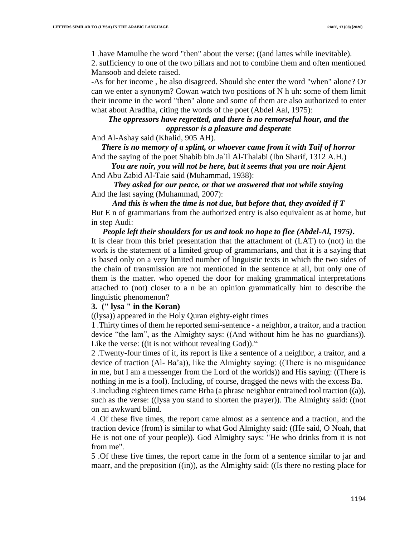1 .have Mamulhe the word "then" about the verse: ((and lattes while inevitable).

2. sufficiency to one of the two pillars and not to combine them and often mentioned Mansoob and delete raised.

-As for her income , he also disagreed. Should she enter the word "when" alone? Or can we enter a synonym? Cowan watch two positions of N h uh: some of them limit their income in the word "then" alone and some of them are also authorized to enter what about Aradfha, citing the words of the poet (Abdel Aal, 1975):

# *The oppressors have regretted, and there is no remorseful hour, and the oppressor is a pleasure and desperate*

And Al-Ashay said (Khalid, 905 AH).

*There is no memory of a splint, or whoever came from it with Taif of horror* And the saying of the poet Shabib bin Ja`il Al-Thalabi (Ibn Sharif, 1312 A.H.)

*You are noir, you will not be here, but it seems that you are noir Ajent* And Abu Zabid Al-Taie said (Muhammad, 1938) :

*They asked for our peace, or that we answered that not while staying* And the last saying (Muhammad, 2007):

*And this is when the time is not due, but before that, they avoided if T* But E n of grammarians from the authorized entry is also equivalent as at home, but in step Audi:

*People left their shoulders for us and took no hope to flee (Abdel-Al, 1975)***.** It is clear from this brief presentation that the attachment of (LAT) to (not) in the work is the statement of a limited group of grammarians, and that it is a saying that is based only on a very limited number of linguistic texts in which the two sides of the chain of transmission are not mentioned in the sentence at all, but only one of them is the matter. who opened the door for making grammatical interpretations attached to (not) closer to a n be an opinion grammatically him to describe the linguistic phenomenon?

#### **3. (" lysa " in the Koran)**

((lysa)) appeared in the Holy Quran eighty-eight times

1 .Thirty times of them he reported semi-sentence - a neighbor, a traitor, and a traction device "the lam", as the Almighty says: ((And without him he has no guardians)). Like the verse: ((it is not without revealing God))."

2 .Twenty-four times of it, its report is like a sentence of a neighbor, a traitor, and a device of traction (Al- Ba'a)), like the Almighty saying: ((There is no misguidance in me, but I am a messenger from the Lord of the worlds)) and His saying: ((There is nothing in me is a fool). Including, of course, dragged the news with the excess Ba .

3 .including eighteen times came Brha (a phrase neighbor entrained tool traction ((a)), such as the verse: ((lysa you stand to shorten the prayer)). The Almighty said: ((not on an awkward blind.

4 .Of these five times, the report came almost as a sentence and a traction, and the traction device (from) is similar to what God Almighty said: ((He said, O Noah, that He is not one of your people)). God Almighty says: "He who drinks from it is not from me".

5 .Of these five times, the report came in the form of a sentence similar to jar and maarr, and the preposition ((in)), as the Almighty said: ((Is there no resting place for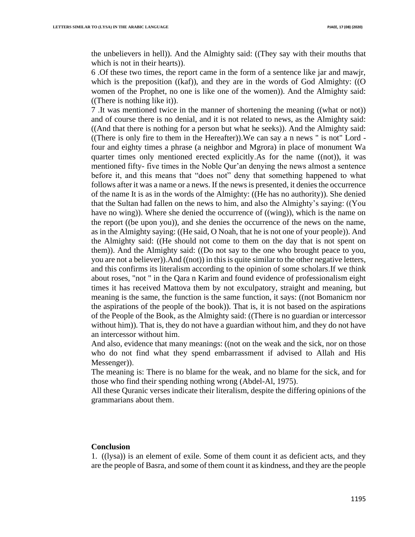the unbelievers in hell)). And the Almighty said: ((They say with their mouths that which is not in their hearts)).

6 .Of these two times, the report came in the form of a sentence like jar and mawjr, which is the preposition ((kaf)), and they are in the words of God Almighty: ((O women of the Prophet, no one is like one of the women)). And the Almighty said: ((There is nothing like it)).

7 .It was mentioned twice in the manner of shortening the meaning ((what or not)) and of course there is no denial, and it is not related to news, as the Almighty said: ((And that there is nothing for a person but what he seeks)). And the Almighty said: ((There is only fire to them in the Hereafter)).We can say a n news " is not" Lord four and eighty times a phrase (a neighbor and Mgrora) in place of monument Wa quarter times only mentioned erected explicitly .As for the name ((not)), it was mentioned fifty- five times in the Noble Qur'an denying the news almost a sentence before it, and this means that "does not" deny that something happened to what follows after it was a name or a news. If the news is presented, it denies the occurrence of the name It is as in the words of the Almighty: ((He has no authority)). She denied that the Sultan had fallen on the news to him, and also the Almighty's saying: ((You have no wing)). Where she denied the occurrence of ((wing)), which is the name on the report ((be upon you)), and she denies the occurrence of the news on the name, as in the Almighty saying: ((He said, O Noah, that he is not one of your people)). And the Almighty said: ((He should not come to them on the day that is not spent on them)). And the Almighty said: ((Do not say to the one who brought peace to you, you are not a believer)).And ((not)) in this is quite similar to the other negative letters, and this confirms its literalism according to the opinion of some scholars .If we think about roses, "not " in the Qara n Karim and found evidence of professionalism eight times it has received Mattova them by not exculpatory, straight and meaning, but meaning is the same, the function is the same function, it says: ((not Bomanicm nor the aspirations of the people of the book)). That is, it is not based on the aspirations of the People of the Book, as the Almighty said: ((There is no guardian or intercessor without him)). That is, they do not have a guardian without him, and they do not have an intercessor without him.

And also, evidence that many meanings: ((not on the weak and the sick, nor on those who do not find what they spend embarrassment if advised to Allah and His Messenger).

The meaning is: There is no blame for the weak, and no blame for the sick, and for those who find their spending nothing wrong (Abdel-Al, 1975) .

All these Quranic verses indicate their literalism, despite the differing opinions of the grammarians about them .

#### **Conclusion**

1. ((lysa)) is an element of exile. Some of them count it as deficient acts, and they are the people of Basra, and some of them count it as kindness, and they are the people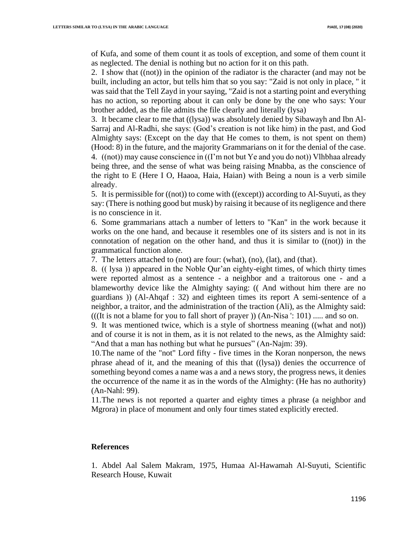of Kufa, and some of them count it as tools of exception, and some of them count it as neglected. The denial is nothing but no action for it on this path.

2. I show that ((not)) in the opinion of the radiator is the character (and may not be built, including an actor, but tells him that so you say: "Zaid is not only in place, " it was said that the Tell Zayd in your saying, "Zaid is not a starting point and everything has no action, so reporting about it can only be done by the one who says: Your brother added, as the file admits the file clearly and literally (lysa)

3. It became clear to me that ((lysa)) was absolutely denied by Sibawayh and Ibn Al-Sarraj and Al-Radhi, she says: (God's creation is not like him) in the past, and God Almighty says: (Except on the day that He comes to them, is not spent on them) (Hood: 8) in the future, and the majority Grammarians on it for the denial of the case . 4. ((not)) may cause conscience in ((I'm not but Ye and you do not)) Vlhbhaa already being three, and the sense of what was being raising Mnabba, as the conscience of the right to E (Here I O, Haaoa, Haia, Haian) with Being a noun is a verb simile already.

5. It is permissible for ((not)) to come with ((except)) according to Al-Suyuti, as they say: (There is nothing good but musk) by raising it because of its negligence and there is no conscience in it.

6. Some grammarians attach a number of letters to "Kan" in the work because it works on the one hand, and because it resembles one of its sisters and is not in its connotation of negation on the other hand, and thus it is similar to ((not)) in the grammatical function alone.

7. The letters attached to (not) are four: (what), (no), (lat), and (that) .

8. (( lysa )) appeared in the Noble Qur'an eighty-eight times, of which thirty times were reported almost as a sentence - a neighbor and a traitorous one - and a blameworthy device like the Almighty saying: (( And without him there are no guardians )) (Al-Ahqaf : 32) and eighteen times its report A semi-sentence of a neighbor, a traitor, and the administration of the traction (Ali), as the Almighty said: (((It is not a blame for you to fall short of prayer )) (An-Nisa ': 101) ..... and so on.

9. It was mentioned twice, which is a style of shortness meaning ((what and not)) and of course it is not in them, as it is not related to the news, as the Almighty said: "And that a man has nothing but what he pursues" (An-Najm: 39).

10.The name of the "not" Lord fifty - five times in the Koran nonperson, the news phrase ahead of it, and the meaning of this that ((lysa)) denies the occurrence of something beyond comes a name was a and a news story, the progress news, it denies the occurrence of the name it as in the words of the Almighty: (He has no authority) (An-Nahl: 99) .

11.The news is not reported a quarter and eighty times a phrase (a neighbor and Mgrora) in place of monument and only four times stated explicitly erected.

#### **References**

1. Abdel Aal Salem Makram, 1975, Humaa Al-Hawamah Al-Suyuti, Scientific Research House, Kuwait